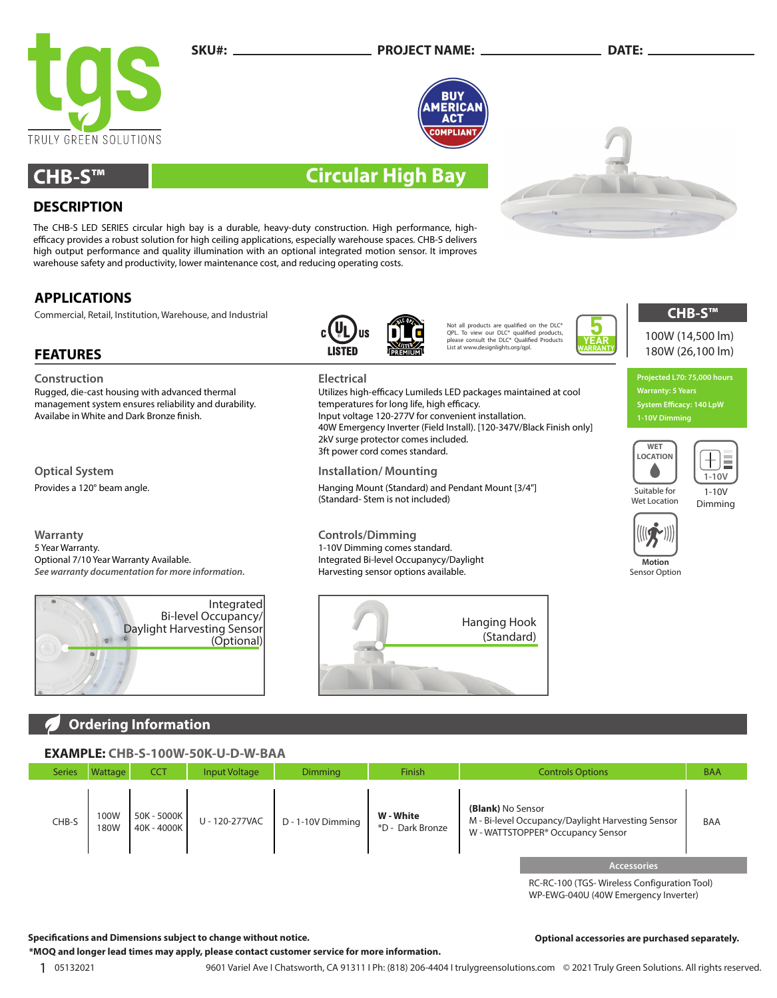

### **SKU#: PROJECT NAME: DATE:**



Utilizes high-efficacy Lumileds LED packages maintained at cool

40W Emergency Inverter (Field Install). [120-347V/Black Finish only]

# **CHB-S™ Circular High Bay**

## **DESCRIPTION**

The CHB-S LED SERIES circular high bay is a durable, heavy-duty construction. High performance, highefficacy provides a robust solution for high ceiling applications, especially warehouse spaces. CHB-S delivers high output performance and quality illumination with an optional integrated motion sensor. It improves warehouse safety and productivity, lower maintenance cost, and reducing operating costs.

## **APPLICATIONS**

**FEATURES**

Commercial, Retail, Institution, Warehouse, and Industrial

Rugged, die-cast housing with advanced thermal management system ensures reliability and durability.

Availabe in White and Dark Bronze finish.

**Construction Electrical**

**Optical System Installation/ Mounting**

Provides a 120° beam angle. Hanging Mount (Standard) and Pendant Mount [3/4"]



temperatures for long life, high efficacy. Input voltage 120-277V for convenient installation.

2kV surge protector comes included. 3ft power cord comes standard.

1-10V Dimming comes standard. Integrated Bi-level Occupanycy/Daylight Harvesting sensor options available.

(Standard- Stem is not included)

Not all products are qualified on the DLC® QPL. To view our DLC® qualified products, please consult the DLC® Qualified Products .<br>List at www.designlights.org/gpl.

**YEAR WARRANTY**

180W (26,100 lm) **Projected L70: 75,000 hours Warranty: 5 Years**

100W (14,500 lm)

**CHB-S™**

**1-10V Dimming**





Suitable for Wet Location





**Warranty Controls/Dimming** 5 Year Warranty. Optional 7/10 Year Warranty Available. *See warranty documentation for more information.*





## **Ordering Information**

## **EXAMPLE: CHB-S-100W-50K-U-D-W-BAA**

| ___________   |              |                            |                      |                   |                               |                                                                                                                         |            |
|---------------|--------------|----------------------------|----------------------|-------------------|-------------------------------|-------------------------------------------------------------------------------------------------------------------------|------------|
| <b>Series</b> | Wattage      | <b>CCT</b>                 | <b>Input Voltage</b> | <b>Dimming</b>    | <b>Finish</b>                 | <b>Controls Options</b>                                                                                                 | <b>BAA</b> |
| CHB-S         | 100W<br>180W | 50K - 5000K<br>40K - 4000K | U - 120-277VAC       | D - 1-10V Dimming | W - White<br>*D - Dark Bronze | (Blank) No Sensor<br>M - Bi-level Occupancy/Daylight Harvesting Sensor<br>W - WATTSTOPPER <sup>®</sup> Occupancy Sensor | BAA        |
|               |              |                            |                      |                   |                               | <b>Accessories</b>                                                                                                      |            |

RC-RC-100 (TGS- Wireless Configuration Tool) WP-EWG-040U (40W Emergency Inverter)

**Optional accessories are purchased separately.**

**Specifications and Dimensions subject to change without notice.**

**\*MOQ and longer lead times may apply, please contact customer service for more information.**

1 <sup>05132021</sup> 9601 Variel Ave I Chatsworth, CA 91311 I Ph: (818) 206-4404 I trulygreensolutions.com © 2021 Truly Green Solutions. All rights reserved.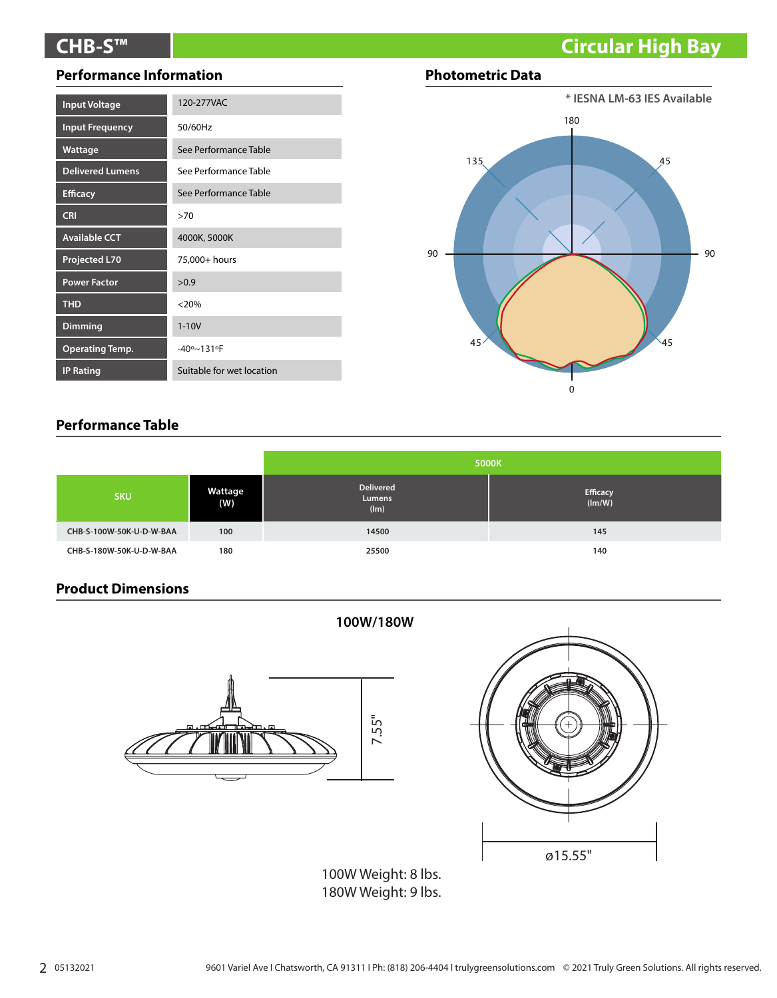# **CHB-S™ Circular High Bay**

## **Performance Information**

| <b>Input Voltage</b>    | 120-277VAC                |
|-------------------------|---------------------------|
| <b>Input Frequency</b>  | 50/60Hz                   |
| Wattage                 | See Performance Table     |
| <b>Delivered Lumens</b> | See Performance Table     |
| <b>Efficacy</b>         | See Performance Table     |
| <b>CRI</b>              | >70                       |
| <b>Available CCT</b>    | 4000K, 5000K              |
| <b>Projected L70</b>    | 75,000+ hours             |
| <b>Power Factor</b>     | >0.9                      |
| <b>THD</b>              | $< 20\%$                  |
| <b>Dimming</b>          | $1 - 10V$                 |
| <b>Operating Temp.</b>  | $-40° - 131°$ F           |
| <b>IP Rating</b>        | Suitable for wet location |

## **Photometric Data**



## **Performance Table**

|                          |                | 5000K                              |                           |  |
|--------------------------|----------------|------------------------------------|---------------------------|--|
| <b>SKU</b>               | Wattage<br>(W) | <b>Delivered</b><br>Lumens<br>(lm) | <b>Efficacy</b><br>(lm/W) |  |
| CHB-S-100W-50K-U-D-W-BAA | 100            | 14500                              | 145                       |  |
| CHB-S-180W-50K-U-D-W-BAA | 180            | 25500                              | 140                       |  |

**100W/180W**

## **Product Dimensions**





100W Weight: 8 lbs. 180W Weight: 9 lbs.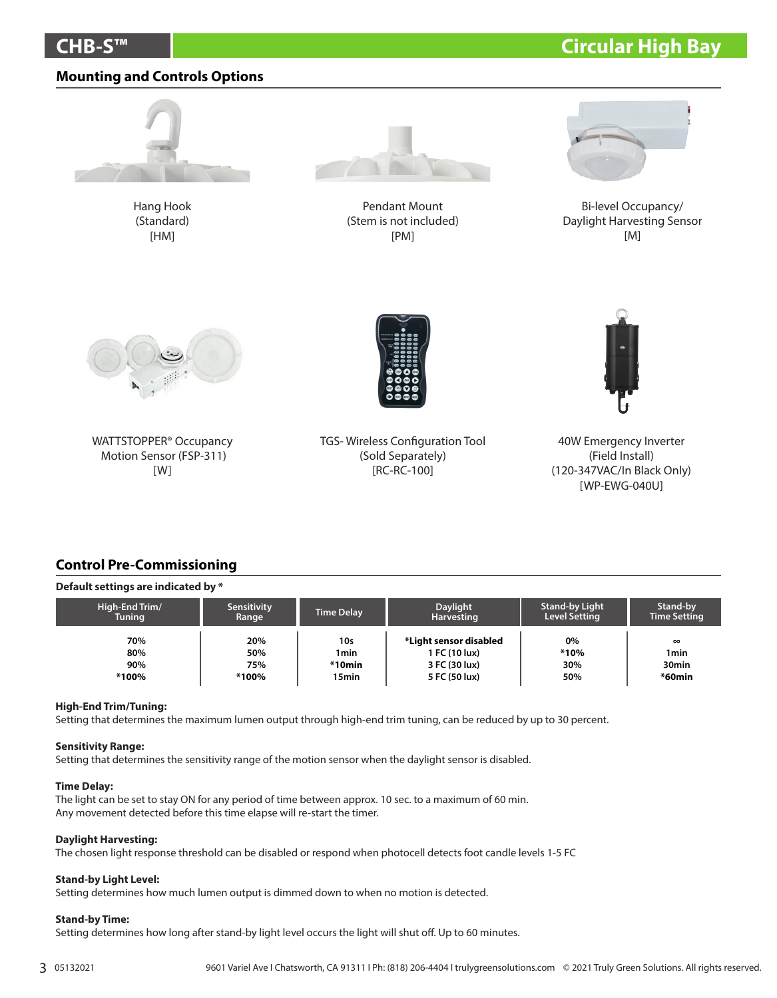# **CHB-S™ Circular High Bay**

## **Mounting and Controls Options**



Hang Hook (Standard) [HM]



Pendant Mount (Stem is not included) [PM]



Bi-level Occupancy/ Daylight Harvesting Sensor [M]



WATTSTOPPER® Occupancy Motion Sensor (FSP-311) [W]



TGS- Wireless Configuration Tool (Sold Separately) [RC-RC-100]



40W Emergency Inverter (Field Install) (120-347VAC/In Black Only) [WP-EWG-040U]

## **Control Pre-Commissioning**

#### **Default settings are indicated by \***

| High-End Trim/ | <b>Sensitivity</b> | <b>Time Delay</b> | Daylight               | <b>Stand-by Light</b> | <b>Stand-by</b>     |
|----------------|--------------------|-------------------|------------------------|-----------------------|---------------------|
| Tuning         | Range              |                   | <b>Harvesting</b>      | <b>Level Setting</b>  | <b>Time Setting</b> |
| 70%            | 20%                | 10s               | *Light sensor disabled | 0%                    | $\infty$            |
| 80%            | 50%                | 1 <sub>min</sub>  | 1 FC (10 lux)          | *10%                  | 1min                |
| 90%            | 75%                | $*10$ min         | 3 FC (30 lux)          | 30%                   | 30 <sub>min</sub>   |
| *100%          | *100%              | 15 <sub>min</sub> | 5 FC (50 lux)          | 50%                   | $*60$ min           |

#### **High-End Trim/Tuning:**

Setting that determines the maximum lumen output through high-end trim tuning, can be reduced by up to 30 percent.

#### **Sensitivity Range:**

Setting that determines the sensitivity range of the motion sensor when the daylight sensor is disabled.

#### **Time Delay:**

The light can be set to stay ON for any period of time between approx. 10 sec. to a maximum of 60 min. Any movement detected before this time elapse will re-start the timer.

#### **Daylight Harvesting:**

The chosen light response threshold can be disabled or respond when photocell detects foot candle levels 1-5 FC

### **Stand-by Light Level:**

Setting determines how much lumen output is dimmed down to when no motion is detected.

#### **Stand-by Time:**

Setting determines how long after stand-by light level occurs the light will shut off. Up to 60 minutes.